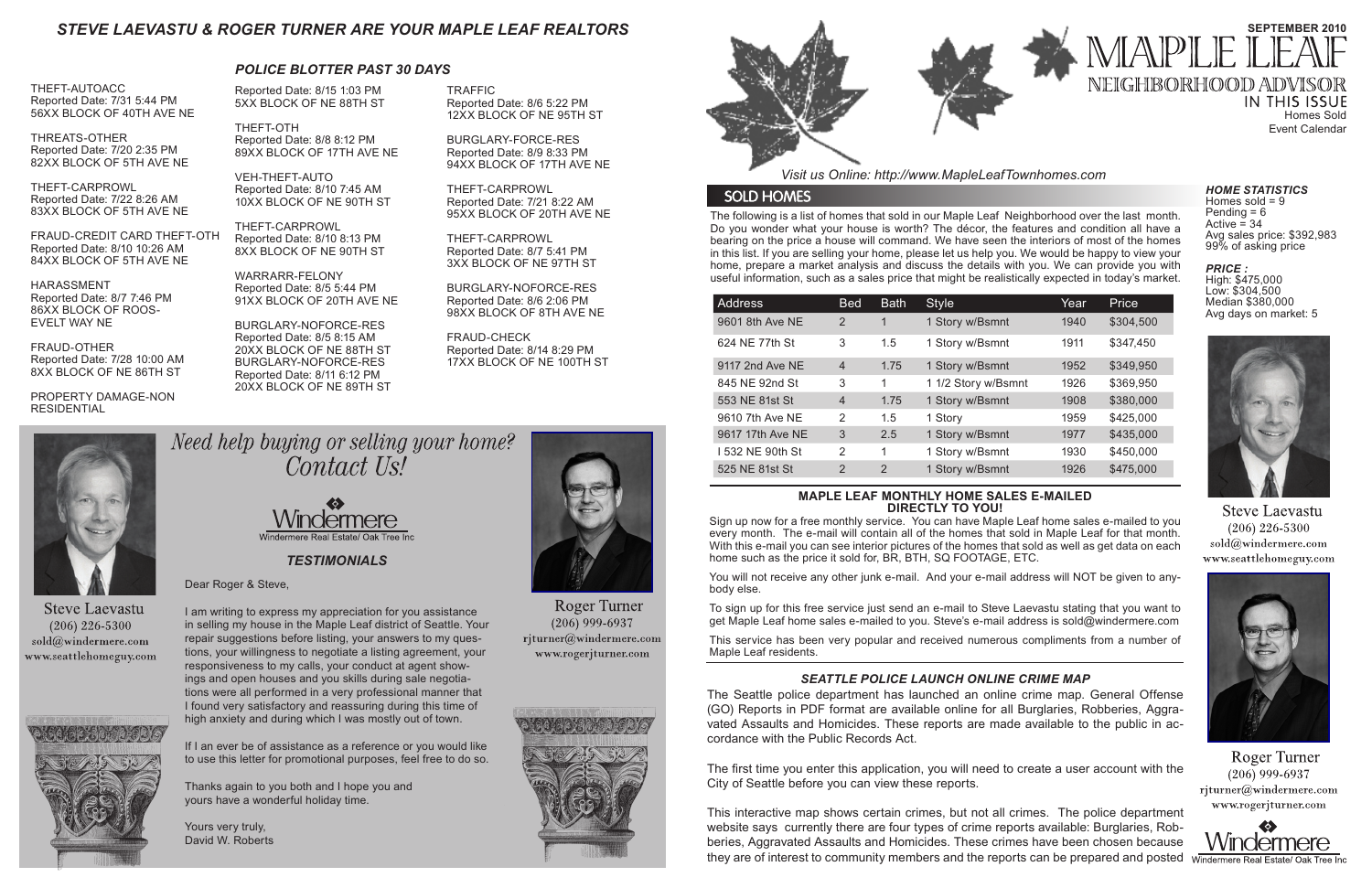The following is a list of homes that sold in our Maple Leaf Neighborhood over the last month. Do you wonder what your house is worth? The décor, the features and condition all have a bearing on the price a house will command. We have seen the interiors of most of the homes in this list. If you are selling your home, please let us help you. We would be happy to view your home, prepare a market analysis and discuss the details with you. We can provide you with useful information, such as a sales price that might be realistically expected in today's market.

*Visit us Online: http://www.MapleLeafTownhomes.com*

## **SOLD HOMES**

# *STEVE LAEVASTU & ROGER TURNER ARE YOUR MAPLE LEAF REALTORS*

#### **MAPLE LEAF MONTHLY HOME SALES E-MAILED DIRECTLY TO YOU!**

Sign up now for a free monthly service. You can have Maple Leaf home sales e-mailed to you every month. The e-mail will contain all of the homes that sold in Maple Leaf for that month. With this e-mail you can see interior pictures of the homes that sold as well as get data on each home such as the price it sold for, BR, BTH, SQ FOOTAGE, ETC.

**IN THIS ISSUE** Homes Sold Event Calendar

Homes sold  $= 9$ Pending  $= 6$ Active  $= 34$ Avg sales price: \$392,983 99% of asking price

You will not receive any other junk e-mail. And your e-mail address will NOT be given to anybody else.

To sign up for this free service just send an e-mail to Steve Laevastu stating that you want to get Maple Leaf home sales e-mailed to you. Steve's e-mail address is sold@windermere.com

This service has been very popular and received numerous compliments from a number of Maple Leaf residents.

*TESTIMONIALS*

| <b>Address</b>   | <b>Bed</b>     | <b>Bath</b> | <b>Style</b>        | Year | Price     |
|------------------|----------------|-------------|---------------------|------|-----------|
| 9601 8th Ave NE  | 2              | 1           | 1 Story w/Bsmnt     | 1940 | \$304,500 |
| 624 NE 77th St   | 3              | 1.5         | 1 Story w/Bsmnt     | 1911 | \$347,450 |
| 9117 2nd Ave NE  | $\overline{4}$ | 1.75        | 1 Story w/Bsmnt     | 1952 | \$349,950 |
| 845 NE 92nd St   | 3              | 1           | 1 1/2 Story w/Bsmnt | 1926 | \$369,950 |
| 553 NE 81st St   | $\overline{4}$ | 1.75        | 1 Story w/Bsmnt     | 1908 | \$380,000 |
| 9610 7th Ave NE  | 2              | 1.5         | 1 Story             | 1959 | \$425,000 |
| 9617 17th Ave NE | 3              | 2.5         | 1 Story w/Bsmnt     | 1977 | \$435,000 |
| 1532 NE 90th St  | 2              | 1           | 1 Story w/Bsmnt     | 1930 | \$450,000 |
| 525 NE 81st St   | 2              | 2           | 1 Story w/Bsmnt     | 1926 | \$475,000 |

This interactive map shows certain crimes, but not all crimes. The police department website says currently there are four types of crime reports available: Burglaries, Robberies, Aggravated Assaults and Homicides. These crimes have been chosen because they are of interest to community members and the reports can be prepared and posted windermere Real Estate/Oak



# **SEPTEMBER 2010** MAPLE NEIGHBORHOOD ADVISOR

#### *HOME STATISTICS*

*PRICE :* 

High: \$475,000 Low: \$304,500 Median \$380,000 Avg days on market: 5



**Steve Laevastu**  $(206)$  226-5300 sold@windermere.com www.seattlehomeguy.com



Roger Turner  $(206)$  999-6937 rjturner@windermere.com www.rogerjturner.com



THEFT-AUTOACC Reported Date: 7/31 5:44 PM 56XX BLOCK OF 40TH AVE NE

THREATS-OTHER Reported Date: 7/20 2:35 PM 82XX BLOCK OF 5TH AVE NE

THEFT-CARPROWL Reported Date: 7/22 8:26 AM 83XX BLOCK OF 5TH AVE NE

FRAUD-CREDIT CARD THEFT-OTH Reported Date: 8/10 10:26 AM 84XX BLOCK OF 5TH AVE NE

HARASSMENT Reported Date: 8/7 7:46 PM 86XX BLOCK OF ROOS-EVELT WAY NE

FRAUD-OTHER Reported Date: 7/28 10:00 AM 8XX BLOCK OF NE 86TH ST

PROPERTY DAMAGE-NON RESIDENTIAL



THEFT-OTH Reported Date: 8/8 8:12 PM 89XX BLOCK OF 17TH AVE NE

VEH-THEFT-AUTO Reported Date: 8/10 7:45 AM 10XX BLOCK OF NE 90TH ST

THEFT-CARPROWL Reported Date: 8/10 8:13 PM 8XX BLOCK OF NE 90TH ST

WARRARR-FELONY Reported Date: 8/5 5:44 PM 91XX BLOCK OF 20TH AVE NE

BURGLARY-NOFORCE-RES Reported Date: 8/5 8:15 AM 20XX BLOCK OF NE 88TH ST BURGLARY-NOFORCE-RES Reported Date: 8/11 6:12 PM 20XX BLOCK OF NE 89TH ST

*POLICE BLOTTER PAST 30 DAYS*

# *SEATTLE POLICE LAUNCH ONLINE CRIME MAP*

The Seattle police department has launched an online crime map. General Offense (GO) Reports in PDF format are available online for all Burglaries, Robberies, Aggravated Assaults and Homicides. These reports are made available to the public in accordance with the Public Records Act.

The first time you enter this application, you will need to create a user account with the City of Seattle before you can view these reports.

TRAFFIC Reported Date: 8/6 5:22 PM 12XX BLOCK OF NE 95TH ST

BURGLARY-FORCE-RES Reported Date: 8/9 8:33 PM 94XX BLOCK OF 17TH AVE NE

THEFT-CARPROWL Reported Date: 7/21 8:22 AM 95XX BLOCK OF 20TH AVE NE

THEFT-CARPROWL Reported Date: 8/7 5:41 PM 3XX BLOCK OF NE 97TH ST

BURGLARY-NOFORCE-RES Reported Date: 8/6 2:06 PM 98XX BLOCK OF 8TH AVE NE

FRAUD-CHECK Reported Date: 8/14 8:29 PM 17XX BLOCK OF NE 100TH ST



**Steve Laevastu**  $(206)$  226-5300 sold@windermere.com www.seattlehomeguy.com



Need help buying or selling your home? Contact Us!



Dear Roger & Steve,

I am writing to express my appreciation for you assistance in selling my house in the Maple Leaf district of Seattle. Your repair suggestions before listing, your answers to my questions, your willingness to negotiate a listing agreement, your responsiveness to my calls, your conduct at agent showings and open houses and you skills during sale negotiations were all performed in a very professional manner that I found very satisfactory and reassuring during this time of high anxiety and during which I was mostly out of town.

If I an ever be of assistance as a reference or you would like to use this letter for promotional purposes, feel free to do so.

Thanks again to you both and I hope you and yours have a wonderful holiday time.

Yours very truly, David W. Roberts



**Roger Turner**  $(206)$  999-6937 rjturner@windermere.com www.rogerjturner.com